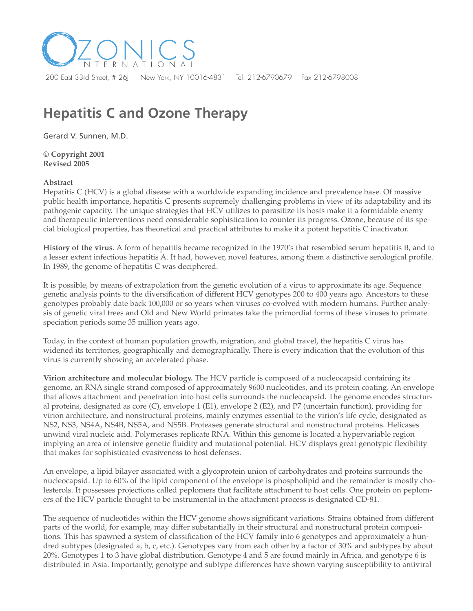

# **Hepatitis C and Ozone Therapy**

Gerard V. Sunnen, M.D.

**© Copyright 2001 Revised 2005**

## **Abstract**

Hepatitis C (HCV) is a global disease with a worldwide expanding incidence and prevalence base. Of massive public health importance, hepatitis C presents supremely challenging problems in view of its adaptability and its pathogenic capacity. The unique strategies that HCV utilizes to parasitize its hosts make it a formidable enemy and therapeutic interventions need considerable sophistication to counter its progress. Ozone, because of its special biological properties, has theoretical and practical attributes to make it a potent hepatitis C inactivator.

**History of the virus.** A form of hepatitis became recognized in the 1970's that resembled serum hepatitis B, and to a lesser extent infectious hepatitis A. It had, however, novel features, among them a distinctive serological profile. In 1989, the genome of hepatitis C was deciphered.

It is possible, by means of extrapolation from the genetic evolution of a virus to approximate its age. Sequence genetic analysis points to the diversification of different HCV genotypes 200 to 400 years ago. Ancestors to these genotypes probably date back 100,000 or so years when viruses co-evolved with modern humans. Further analysis of genetic viral trees and Old and New World primates take the primordial forms of these viruses to primate speciation periods some 35 million years ago.

Today, in the context of human population growth, migration, and global travel, the hepatitis C virus has widened its territories, geographically and demographically. There is every indication that the evolution of this virus is currently showing an accelerated phase.

**Virion architecture and molecular biology.** The HCV particle is composed of a nucleocapsid containing its genome, an RNA single strand composed of approximately 9600 nucleotides, and its protein coating. An envelope that allows attachment and penetration into host cells surrounds the nucleocapsid. The genome encodes structural proteins, designated as core (C), envelope 1 (E1), envelope 2 (E2), and P7 (uncertain function), providing for virion architecture, and nonstructural proteins, mainly enzymes essential to the virion's life cycle, designated as NS2, NS3, NS4A, NS4B, NS5A, and NS5B. Proteases generate structural and nonstructural proteins. Helicases unwind viral nucleic acid. Polymerases replicate RNA. Within this genome is located a hypervariable region implying an area of intensive genetic fluidity and mutational potential. HCV displays great genotypic flexibility that makes for sophisticated evasiveness to host defenses.

An envelope, a lipid bilayer associated with a glycoprotein union of carbohydrates and proteins surrounds the nucleocapsid. Up to 60% of the lipid component of the envelope is phospholipid and the remainder is mostly cholesterols. It possesses projections called peplomers that facilitate attachment to host cells. One protein on peplomers of the HCV particle thought to be instrumental in the attachment process is designated CD-81.

The sequence of nucleotides within the HCV genome shows significant variations. Strains obtained from different parts of the world, for example, may differ substantially in their structural and nonstructural protein compositions. This has spawned a system of classification of the HCV family into 6 genotypes and approximately a hundred subtypes (designated a, b, c, etc.). Genotypes vary from each other by a factor of 30% and subtypes by about 20%. Genotypes 1 to 3 have global distribution. Genotype 4 and 5 are found mainly in Africa, and genotype 6 is distributed in Asia. Importantly, genotype and subtype differences have shown varying susceptibility to antiviral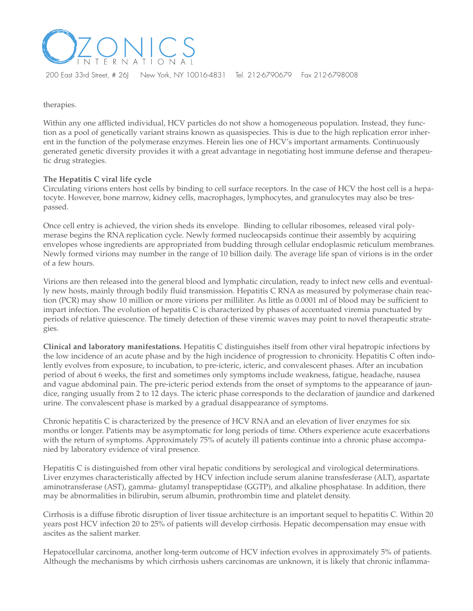

therapies.

Within any one afflicted individual, HCV particles do not show a homogeneous population. Instead, they function as a pool of genetically variant strains known as quasispecies. This is due to the high replication error inherent in the function of the polymerase enzymes. Herein lies one of HCV's important armaments. Continuously generated genetic diversity provides it with a great advantage in negotiating host immune defense and therapeutic drug strategies.

### **The Hepatitis C viral life cycle**

Circulating virions enters host cells by binding to cell surface receptors. In the case of HCV the host cell is a hepatocyte. However, bone marrow, kidney cells, macrophages, lymphocytes, and granulocytes may also be trespassed.

Once cell entry is achieved, the virion sheds its envelope. Binding to cellular ribosomes, released viral polymerase begins the RNA replication cycle. Newly formed nucleocapsids continue their assembly by acquiring envelopes whose ingredients are appropriated from budding through cellular endoplasmic reticulum membranes. Newly formed virions may number in the range of 10 billion daily. The average life span of virions is in the order of a few hours.

Virions are then released into the general blood and lymphatic circulation, ready to infect new cells and eventually new hosts, mainly through bodily fluid transmission. Hepatitis C RNA as measured by polymerase chain reaction (PCR) may show 10 million or more virions per milliliter. As little as 0.0001 ml of blood may be sufficient to impart infection. The evolution of hepatitis C is characterized by phases of accentuated viremia punctuated by periods of relative quiescence. The timely detection of these viremic waves may point to novel therapeutic strategies.

**Clinical and laboratory manifestations.** Hepatitis C distinguishes itself from other viral hepatropic infections by the low incidence of an acute phase and by the high incidence of progression to chronicity. Hepatitis C often indolently evolves from exposure, to incubation, to pre-icteric, icteric, and convalescent phases. After an incubation period of about 6 weeks, the first and sometimes only symptoms include weakness, fatigue, headache, nausea and vague abdominal pain. The pre-icteric period extends from the onset of symptoms to the appearance of jaundice, ranging usually from 2 to 12 days. The icteric phase corresponds to the declaration of jaundice and darkened urine. The convalescent phase is marked by a gradual disappearance of symptoms.

Chronic hepatitis C is characterized by the presence of HCV RNA and an elevation of liver enzymes for six months or longer. Patients may be asymptomatic for long periods of time. Others experience acute exacerbations with the return of symptoms. Approximately 75% of acutely ill patients continue into a chronic phase accompanied by laboratory evidence of viral presence.

Hepatitis C is distinguished from other viral hepatic conditions by serological and virological determinations. Liver enzymes characteristically affected by HCV infection include serum alanine transfesferase (ALT), aspartate aminotransferase (AST), gamma- glutamyl transpeptidase (GGTP), and alkaline phosphatase. In addition, there may be abnormalities in bilirubin, serum albumin, prothrombin time and platelet density.

Cirrhosis is a diffuse fibrotic disruption of liver tissue architecture is an important sequel to hepatitis C. Within 20 years post HCV infection 20 to 25% of patients will develop cirrhosis. Hepatic decompensation may ensue with ascites as the salient marker.

Hepatocellular carcinoma, another long-term outcome of HCV infection evolves in approximately 5% of patients. Although the mechanisms by which cirrhosis ushers carcinomas are unknown, it is likely that chronic inflamma-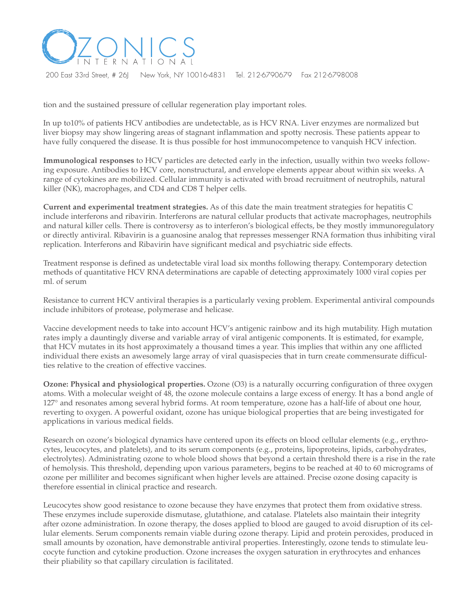

tion and the sustained pressure of cellular regeneration play important roles.

In up to10% of patients HCV antibodies are undetectable, as is HCV RNA. Liver enzymes are normalized but liver biopsy may show lingering areas of stagnant inflammation and spotty necrosis. These patients appear to have fully conquered the disease. It is thus possible for host immunocompetence to vanquish HCV infection.

**Immunological responses** to HCV particles are detected early in the infection, usually within two weeks following exposure. Antibodies to HCV core, nonstructural, and envelope elements appear about within six weeks. A range of cytokines are mobilized. Cellular immunity is activated with broad recruitment of neutrophils, natural killer (NK), macrophages, and CD4 and CD8 T helper cells.

**Current and experimental treatment strategies.** As of this date the main treatment strategies for hepatitis C include interferons and ribavirin. Interferons are natural cellular products that activate macrophages, neutrophils and natural killer cells. There is controversy as to interferon's biological effects, be they mostly immunoregulatory or directly antiviral. Ribavirin is a guanosine analog that represses messenger RNA formation thus inhibiting viral replication. Interferons and Ribavirin have significant medical and psychiatric side effects.

Treatment response is defined as undetectable viral load six months following therapy. Contemporary detection methods of quantitative HCV RNA determinations are capable of detecting approximately 1000 viral copies per ml. of serum

Resistance to current HCV antiviral therapies is a particularly vexing problem. Experimental antiviral compounds include inhibitors of protease, polymerase and helicase.

Vaccine development needs to take into account HCV's antigenic rainbow and its high mutability. High mutation rates imply a dauntingly diverse and variable array of viral antigenic components. It is estimated, for example, that HCV mutates in its host approximately a thousand times a year. This implies that within any one afflicted individual there exists an awesomely large array of viral quasispecies that in turn create commensurate difficulties relative to the creation of effective vaccines.

**Ozone: Physical and physiological properties.** Ozone (O3) is a naturally occurring configuration of three oxygen atoms. With a molecular weight of 48, the ozone molecule contains a large excess of energy. It has a bond angle of 127° and resonates among several hybrid forms. At room temperature, ozone has a half-life of about one hour, reverting to oxygen. A powerful oxidant, ozone has unique biological properties that are being investigated for applications in various medical fields.

Research on ozone's biological dynamics have centered upon its effects on blood cellular elements (e.g., erythrocytes, leucocytes, and platelets), and to its serum components (e.g., proteins, lipoproteins, lipids, carbohydrates, electrolytes). Administrating ozone to whole blood shows that beyond a certain threshold there is a rise in the rate of hemolysis. This threshold, depending upon various parameters, begins to be reached at 40 to 60 micrograms of ozone per milliliter and becomes significant when higher levels are attained. Precise ozone dosing capacity is therefore essential in clinical practice and research.

Leucocytes show good resistance to ozone because they have enzymes that protect them from oxidative stress. These enzymes include superoxide dismutase, glutathione, and catalase. Platelets also maintain their integrity after ozone administration. In ozone therapy, the doses applied to blood are gauged to avoid disruption of its cellular elements. Serum components remain viable during ozone therapy. Lipid and protein peroxides, produced in small amounts by ozonation, have demonstrable antiviral properties. Interestingly, ozone tends to stimulate leucocyte function and cytokine production. Ozone increases the oxygen saturation in erythrocytes and enhances their pliability so that capillary circulation is facilitated.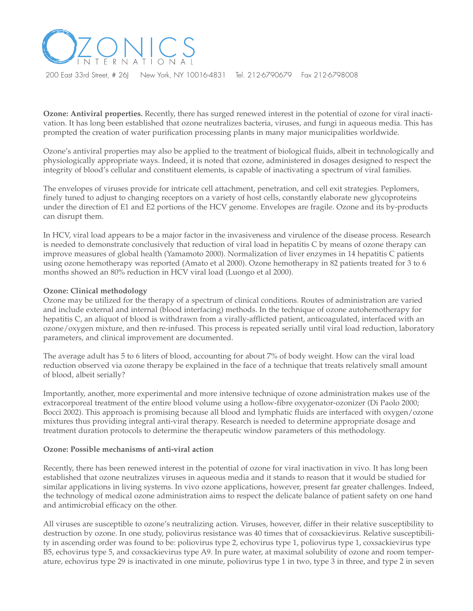

**Ozone: Antiviral properties.** Recently, there has surged renewed interest in the potential of ozone for viral inactivation. It has long been established that ozone neutralizes bacteria, viruses, and fungi in aqueous media. This has prompted the creation of water purification processing plants in many major municipalities worldwide.

Ozone's antiviral properties may also be applied to the treatment of biological fluids, albeit in technologically and physiologically appropriate ways. Indeed, it is noted that ozone, administered in dosages designed to respect the integrity of blood's cellular and constituent elements, is capable of inactivating a spectrum of viral families.

The envelopes of viruses provide for intricate cell attachment, penetration, and cell exit strategies. Peplomers, finely tuned to adjust to changing receptors on a variety of host cells, constantly elaborate new glycoproteins under the direction of E1 and E2 portions of the HCV genome. Envelopes are fragile. Ozone and its by-products can disrupt them.

In HCV, viral load appears to be a major factor in the invasiveness and virulence of the disease process. Research is needed to demonstrate conclusively that reduction of viral load in hepatitis C by means of ozone therapy can improve measures of global health (Yamamoto 2000). Normalization of liver enzymes in 14 hepatitis C patients using ozone hemotherapy was reported (Amato et al 2000). Ozone hemotherapy in 82 patients treated for 3 to 6 months showed an 80% reduction in HCV viral load (Luongo et al 2000).

#### **Ozone: Clinical methodology**

Ozone may be utilized for the therapy of a spectrum of clinical conditions. Routes of administration are varied and include external and internal (blood interfacing) methods. In the technique of ozone autohemotherapy for hepatitis C, an aliquot of blood is withdrawn from a virally-afflicted patient, anticoagulated, interfaced with an ozone/oxygen mixture, and then re-infused. This process is repeated serially until viral load reduction, laboratory parameters, and clinical improvement are documented.

The average adult has 5 to 6 liters of blood, accounting for about 7% of body weight. How can the viral load reduction observed via ozone therapy be explained in the face of a technique that treats relatively small amount of blood, albeit serially?

Importantly, another, more experimental and more intensive technique of ozone administration makes use of the extracorporeal treatment of the entire blood volume using a hollow-fibre oxygenator-ozonizer (Di Paolo 2000; Bocci 2002). This approach is promising because all blood and lymphatic fluids are interfaced with oxygen/ozone mixtures thus providing integral anti-viral therapy. Research is needed to determine appropriate dosage and treatment duration protocols to determine the therapeutic window parameters of this methodology.

#### **Ozone: Possible mechanisms of anti-viral action**

Recently, there has been renewed interest in the potential of ozone for viral inactivation in vivo. It has long been established that ozone neutralizes viruses in aqueous media and it stands to reason that it would be studied for similar applications in living systems. In vivo ozone applications, however, present far greater challenges. Indeed, the technology of medical ozone administration aims to respect the delicate balance of patient safety on one hand and antimicrobial efficacy on the other.

All viruses are susceptible to ozone's neutralizing action. Viruses, however, differ in their relative susceptibility to destruction by ozone. In one study, poliovirus resistance was 40 times that of coxsackievirus. Relative susceptibility in ascending order was found to be: poliovirus type 2, echovirus type 1, poliovirus type 1, coxsackievirus type B5, echovirus type 5, and coxsackievirus type A9. In pure water, at maximal solubility of ozone and room temperature, echovirus type 29 is inactivated in one minute, poliovirus type 1 in two, type 3 in three, and type 2 in seven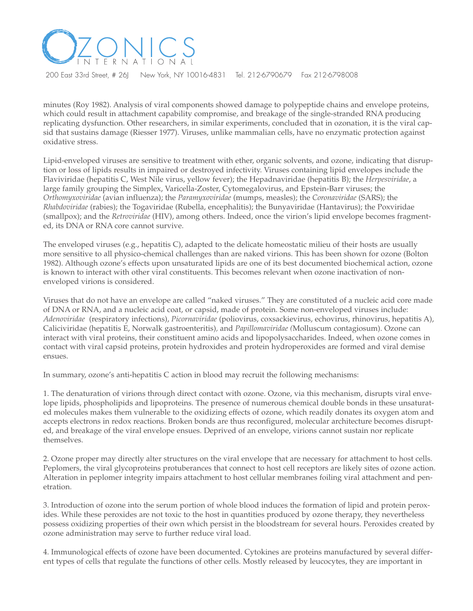

minutes (Roy 1982). Analysis of viral components showed damage to polypeptide chains and envelope proteins, which could result in attachment capability compromise, and breakage of the single-stranded RNA producing replicating dysfunction. Other researchers, in similar experiments, concluded that in ozonation, it is the viral capsid that sustains damage (Riesser 1977). Viruses, unlike mammalian cells, have no enzymatic protection against oxidative stress.

Lipid-enveloped viruses are sensitive to treatment with ether, organic solvents, and ozone, indicating that disruption or loss of lipids results in impaired or destroyed infectivity. Viruses containing lipid envelopes include the Flaviviridae (hepatitis C, West Nile virus, yellow fever); the Hepadnaviridae (hepatitis B); the *Herpesviridae*, a large family grouping the Simplex, Varicella-Zoster, Cytomegalovirus, and Epstein-Barr viruses; the *Orthomyxoviridae* (avian influenza); the *Paramyxoviridae* (mumps, measles); the *Coronaviridae* (SARS); the *Rhabdoviridae* (rabies); the Togaviridae (Rubella, encephalitis); the Bunyaviridae (Hantavirus); the Poxviridae (smallpox); and the *Retroviridae* (HIV), among others. Indeed, once the virion's lipid envelope becomes fragmented, its DNA or RNA core cannot survive.

The enveloped viruses (e.g., hepatitis C), adapted to the delicate homeostatic milieu of their hosts are usually more sensitive to all physico-chemical challenges than are naked virions. This has been shown for ozone (Bolton 1982). Although ozone's effects upon unsaturated lipids are one of its best documented biochemical action, ozone is known to interact with other viral constituents. This becomes relevant when ozone inactivation of nonenveloped virions is considered.

Viruses that do not have an envelope are called "naked viruses." They are constituted of a nucleic acid core made of DNA or RNA, and a nucleic acid coat, or capsid, made of protein. Some non-enveloped viruses include: *Adenoviridae* (respiratory infections), *Picornaviridae* (poliovirus, coxsackievirus, echovirus, rhinovirus, hepatitis A), Caliciviridae (hepatitis E, Norwalk gastroenteritis)*,* and *Papillomaviridae (*Molluscum contagiosum). Ozone can interact with viral proteins, their constituent amino acids and lipopolysaccharides. Indeed, when ozone comes in contact with viral capsid proteins, protein hydroxides and protein hydroperoxides are formed and viral demise ensues.

In summary, ozone's anti-hepatitis C action in blood may recruit the following mechanisms:

1. The denaturation of virions through direct contact with ozone. Ozone, via this mechanism, disrupts viral envelope lipids, phospholipids and lipoproteins. The presence of numerous chemical double bonds in these unsaturated molecules makes them vulnerable to the oxidizing effects of ozone, which readily donates its oxygen atom and accepts electrons in redox reactions. Broken bonds are thus reconfigured, molecular architecture becomes disrupted, and breakage of the viral envelope ensues. Deprived of an envelope, virions cannot sustain nor replicate themselves.

2. Ozone proper may directly alter structures on the viral envelope that are necessary for attachment to host cells. Peplomers, the viral glycoproteins protuberances that connect to host cell receptors are likely sites of ozone action. Alteration in peplomer integrity impairs attachment to host cellular membranes foiling viral attachment and penetration.

3. Introduction of ozone into the serum portion of whole blood induces the formation of lipid and protein peroxides. While these peroxides are not toxic to the host in quantities produced by ozone therapy, they nevertheless possess oxidizing properties of their own which persist in the bloodstream for several hours. Peroxides created by ozone administration may serve to further reduce viral load.

4. Immunological effects of ozone have been documented. Cytokines are proteins manufactured by several different types of cells that regulate the functions of other cells. Mostly released by leucocytes, they are important in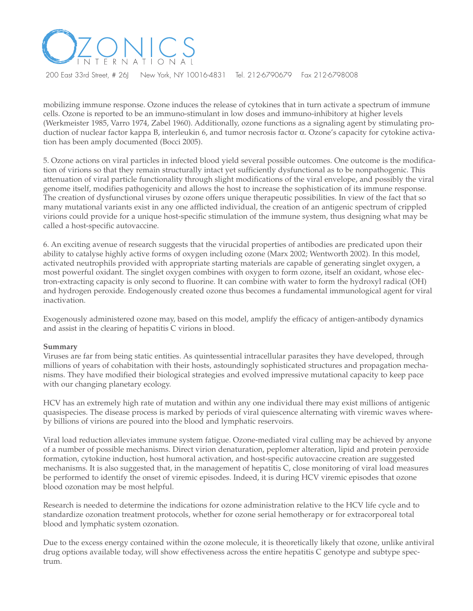

mobilizing immune response. Ozone induces the release of cytokines that in turn activate a spectrum of immune cells. Ozone is reported to be an immuno-stimulant in low doses and immuno-inhibitory at higher levels (Werkmeister 1985, Varro 1974, Zabel 1960). Additionally, ozone functions as a signaling agent by stimulating production of nuclear factor kappa B, interleukin 6, and tumor necrosis factor α. Ozone's capacity for cytokine activation has been amply documented (Bocci 2005).

5. Ozone actions on viral particles in infected blood yield several possible outcomes. One outcome is the modification of virions so that they remain structurally intact yet sufficiently dysfunctional as to be nonpathogenic. This attenuation of viral particle functionality through slight modifications of the viral envelope, and possibly the viral genome itself, modifies pathogenicity and allows the host to increase the sophistication of its immune response. The creation of dysfunctional viruses by ozone offers unique therapeutic possibilities. In view of the fact that so many mutational variants exist in any one afflicted individual, the creation of an antigenic spectrum of crippled virions could provide for a unique host-specific stimulation of the immune system, thus designing what may be called a host-specific autovaccine.

6. An exciting avenue of research suggests that the virucidal properties of antibodies are predicated upon their ability to catalyse highly active forms of oxygen including ozone (Marx 2002; Wentworth 2002). In this model, activated neutrophils provided with appropriate starting materials are capable of generating singlet oxygen, a most powerful oxidant. The singlet oxygen combines with oxygen to form ozone, itself an oxidant, whose electron-extracting capacity is only second to fluorine. It can combine with water to form the hydroxyl radical (OH) and hydrogen peroxide. Endogenously created ozone thus becomes a fundamental immunological agent for viral inactivation.

Exogenously administered ozone may, based on this model, amplify the efficacy of antigen-antibody dynamics and assist in the clearing of hepatitis C virions in blood.

#### **Summary**

Viruses are far from being static entities. As quintessential intracellular parasites they have developed, through millions of years of cohabitation with their hosts, astoundingly sophisticated structures and propagation mechanisms. They have modified their biological strategies and evolved impressive mutational capacity to keep pace with our changing planetary ecology.

HCV has an extremely high rate of mutation and within any one individual there may exist millions of antigenic quasispecies. The disease process is marked by periods of viral quiescence alternating with viremic waves whereby billions of virions are poured into the blood and lymphatic reservoirs.

Viral load reduction alleviates immune system fatigue. Ozone-mediated viral culling may be achieved by anyone of a number of possible mechanisms. Direct virion denaturation, peplomer alteration, lipid and protein peroxide formation, cytokine induction, host humoral activation, and host-specific autovaccine creation are suggested mechanisms. It is also suggested that, in the management of hepatitis C, close monitoring of viral load measures be performed to identify the onset of viremic episodes. Indeed, it is during HCV viremic episodes that ozone blood ozonation may be most helpful.

Research is needed to determine the indications for ozone administration relative to the HCV life cycle and to standardize ozonation treatment protocols, whether for ozone serial hemotherapy or for extracorporeal total blood and lymphatic system ozonation.

Due to the excess energy contained within the ozone molecule, it is theoretically likely that ozone, unlike antiviral drug options available today, will show effectiveness across the entire hepatitis C genotype and subtype spectrum.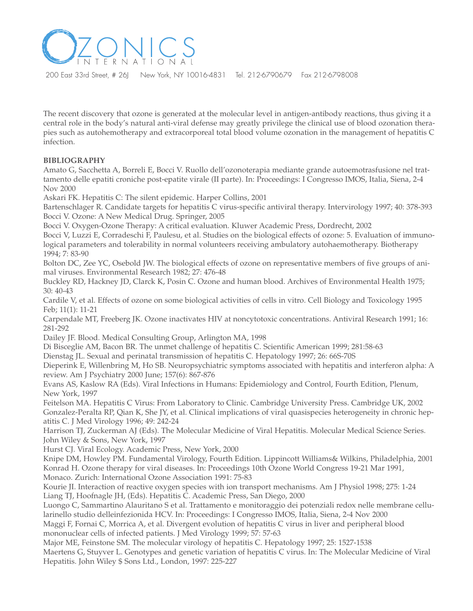

The recent discovery that ozone is generated at the molecular level in antigen-antibody reactions, thus giving it a central role in the body's natural anti-viral defense may greatly privilege the clinical use of blood ozonation therapies such as autohemotherapy and extracorporeal total blood volume ozonation in the management of hepatitis C infection.

# **BIBLIOGRAPHY**

Amato G, Sacchetta A, Borreli E, Bocci V. Ruollo dell'ozonoterapia mediante grande autoemotrasfusione nel trattamento delle epatiti croniche post-epatite virale (II parte). In: Proceedings: I Congresso IMOS, Italia, Siena, 2-4 Nov 2000

Askari FK. Hepatitis C: The silent epidemic. Harper Collins, 2001

Bartenschlager R. Candidate targets for hepatitis C virus-specific antiviral therapy. Intervirology 1997; 40: 378-393 Bocci V. Ozone: A New Medical Drug. Springer, 2005

Bocci V. Oxygen-Ozone Therapy: A critical evaluation. Kluwer Academic Press, Dordrecht, 2002

Bocci V, Luzzi E, Corradeschi F, Paulesu, et al. Studies on the biological effects of ozone: 5. Evaluation of immunological parameters and tolerability in normal volunteers receiving ambulatory autohaemotherapy. Biotherapy 1994; 7: 83-90

Bolton DC, Zee YC, Osebold JW. The biological effects of ozone on representative members of five groups of animal viruses. Environmental Research 1982; 27: 476-48

Buckley RD, Hackney JD, Clarck K, Posin C. Ozone and human blood. Archives of Environmental Health 1975; 30: 40-43

Cardile V, et al. Effects of ozone on some biological activities of cells in vitro. Cell Biology and Toxicology 1995 Feb; 11(1): 11-21

Carpendale MT, Freeberg JK. Ozone inactivates HIV at noncytotoxic concentrations. Antiviral Research 1991; 16: 281-292

Dailey JF. Blood. Medical Consulting Group, Arlington MA, 1998

Di Bisceglie AM, Bacon BR. The unmet challenge of hepatitis C. Scientific American 1999; 281:58-63

Dienstag JL. Sexual and perinatal transmission of hepatitis C. Hepatology 1997; 26: 66S-70S

Dieperink E, Willenbring M, Ho SB. Neuropsychiatric symptoms associated with hepatitis and interferon alpha: A review. Am J Psychiatry 2000 June; 157(6): 867-876

Evans AS, Kaslow RA (Eds). Viral Infections in Humans: Epidemiology and Control, Fourth Edition, Plenum, New York, 1997

Feitelson MA. Hepatitis C Virus: From Laboratory to Clinic. Cambridge University Press. Cambridge UK, 2002 Gonzalez-Peralta RP, Qian K, She JY, et al. Clinical implications of viral quasispecies heterogeneity in chronic hepatitis C. J Med Virology 1996; 49: 242-24

Harrison TJ, Zuckerman AJ (Eds). The Molecular Medicine of Viral Hepatitis. Molecular Medical Science Series. John Wiley & Sons, New York, 1997

Hurst CJ. Viral Ecology. Academic Press, New York, 2000

Knipe DM, Howley PM. Fundamental Virology, Fourth Edition. Lippincott Williams& Wilkins, Philadelphia, 2001 Konrad H. Ozone therapy for viral diseases. In: Proceedings 10th Ozone World Congress 19-21 Mar 1991, Monaco. Zurich: International Ozone Association 1991: 75-83

Kourie JI. Interaction of reactive oxygen species with ion transport mechanisms. Am J Physiol 1998; 275: 1-24 Liang TJ, Hoofnagle JH, (Eds). Hepatitis C. Academic Press, San Diego, 2000

Luongo C, Sammartino Alauritano S et al. Trattamento e monitoraggio dei potenziali redox nelle membrane cellularinello studio delleinfezionida HCV. In: Proceedings: I Congresso IMOS, Italia, Siena, 2-4 Nov 2000

Maggi F, Fornai C, Morrica A, et al. Divergent evolution of hepatitis C virus in liver and peripheral blood mononuclear cells of infected patients. J Med Virology 1999; 57: 57-63

Major ME, Feinstone SM. The molecular virology of hepatitis C. Hepatology 1997; 25: 1527-1538 Maertens G, Stuyver L. Genotypes and genetic variation of hepatitis C virus. In: The Molecular Medicine of Viral Hepatitis. John Wiley \$ Sons Ltd., London, 1997: 225-227